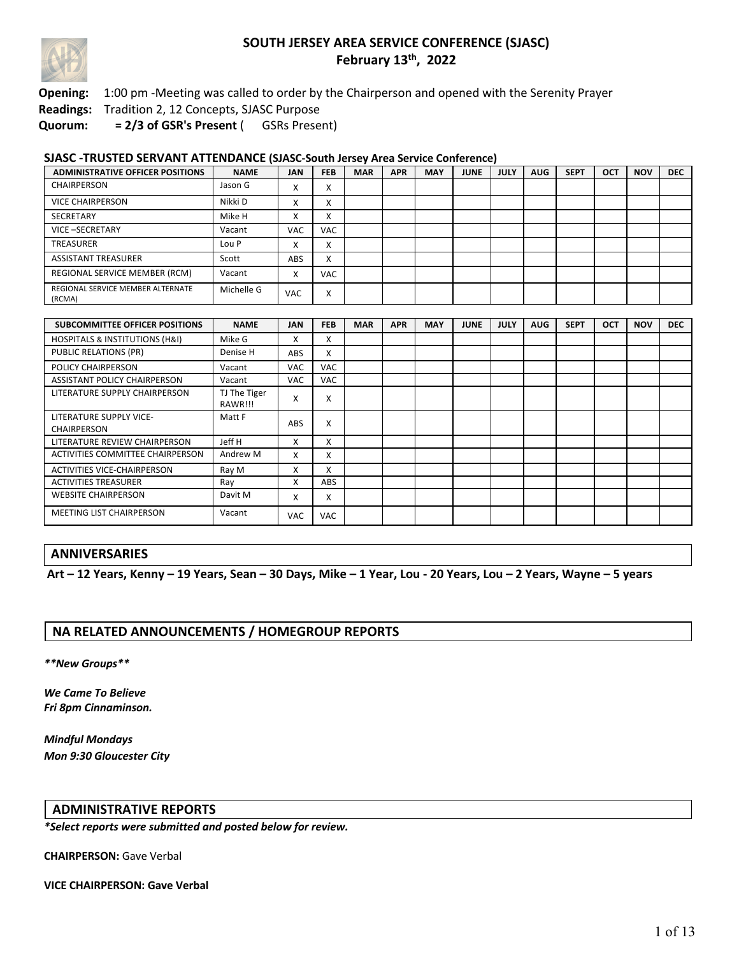

**Opening:** 1:00 pm -Meeting was called to order by the Chairperson and opened with the Serenity Prayer

**Readings:** Tradition 2, 12 Concepts, SJASC Purpose

**Quorum: = 2/3 of GSR's Present** ( GSRs Present)

#### **SJASC -TRUSTED SERVANT ATTENDANCE (SJASC-South Jersey Area Service Conference)**

| <b>ADMINISTRATIVE OFFICER POSITIONS</b>     | <b>NAME</b> | <b>JAN</b>             | <b>FEB</b> | <b>MAR</b> | <b>APR</b> | <b>MAY</b> | <b>JUNE</b> | <b>JULY</b> | <b>AUG</b> | <b>SEPT</b> | OCT | <b>NOV</b> | <b>DEC</b> |
|---------------------------------------------|-------------|------------------------|------------|------------|------------|------------|-------------|-------------|------------|-------------|-----|------------|------------|
| CHAIRPERSON                                 | Jason G     | $\lambda$              | v          |            |            |            |             |             |            |             |     |            |            |
| <b>VICE CHAIRPERSON</b>                     | Nikki D     |                        | $\lambda$  |            |            |            |             |             |            |             |     |            |            |
| SECRETARY                                   | Mike H      | $\lambda$<br>$\lambda$ | $\sim$     |            |            |            |             |             |            |             |     |            |            |
| VICE-SECRETARY                              | Vacant      | <b>VAC</b>             | <b>VAC</b> |            |            |            |             |             |            |             |     |            |            |
| TREASURER                                   | Lou P       | ∧                      | $\sim$     |            |            |            |             |             |            |             |     |            |            |
| <b>ASSISTANT TREASURER</b>                  | Scott       | ABS                    | x          |            |            |            |             |             |            |             |     |            |            |
| REGIONAL SERVICE MEMBER (RCM)               | Vacant      | $\lambda$              | <b>VAC</b> |            |            |            |             |             |            |             |     |            |            |
| REGIONAL SERVICE MEMBER ALTERNATE<br>(RCMA) | Michelle G  | <b>VAC</b>             | v          |            |            |            |             |             |            |             |     |            |            |

| SUBCOMMITTEE OFFICER POSITIONS                | <b>NAME</b>             | <b>JAN</b> | <b>FEB</b> | <b>MAR</b> | <b>APR</b> | <b>MAY</b> | <b>JUNE</b> | <b>JULY</b> | <b>AUG</b> | <b>SEPT</b> | <b>OCT</b> | <b>NOV</b> | <b>DEC</b> |
|-----------------------------------------------|-------------------------|------------|------------|------------|------------|------------|-------------|-------------|------------|-------------|------------|------------|------------|
| <b>HOSPITALS &amp; INSTITUTIONS (H&amp;I)</b> | Mike G                  | x          | X          |            |            |            |             |             |            |             |            |            |            |
| <b>PUBLIC RELATIONS (PR)</b>                  | Denise H                | ABS        | X          |            |            |            |             |             |            |             |            |            |            |
| <b>POLICY CHAIRPERSON</b>                     | Vacant                  | <b>VAC</b> | <b>VAC</b> |            |            |            |             |             |            |             |            |            |            |
| ASSISTANT POLICY CHAIRPERSON                  | Vacant                  | <b>VAC</b> | <b>VAC</b> |            |            |            |             |             |            |             |            |            |            |
| LITERATURE SUPPLY CHAIRPERSON                 | TJ The Tiger<br>RAWR!!! | X          | x          |            |            |            |             |             |            |             |            |            |            |
| LITERATURE SUPPLY VICE-<br><b>CHAIRPERSON</b> | Matt F                  | ABS        | x          |            |            |            |             |             |            |             |            |            |            |
| LITERATURE REVIEW CHAIRPERSON                 | Jeff H                  | X          | x          |            |            |            |             |             |            |             |            |            |            |
| ACTIVITIES COMMITTEE CHAIRPERSON              | Andrew M                | x          | x          |            |            |            |             |             |            |             |            |            |            |
| ACTIVITIES VICE-CHAIRPERSON                   | Ray M                   | x          | x          |            |            |            |             |             |            |             |            |            |            |
| <b>ACTIVITIES TREASURER</b>                   | Ray                     | x          | <b>ABS</b> |            |            |            |             |             |            |             |            |            |            |
| <b>WEBSITE CHAIRPERSON</b>                    | Davit M                 | X          | x          |            |            |            |             |             |            |             |            |            |            |
| <b>MEETING LIST CHAIRPERSON</b>               | Vacant                  | <b>VAC</b> | <b>VAC</b> |            |            |            |             |             |            |             |            |            |            |

### **ANNIVERSARIES**

**Art – 12 Years, Kenny – 19 Years, Sean – 30 Days, Mike – 1 Year, Lou - 20 Years, Lou – 2 Years, Wayne – 5 years**

### **NA RELATED ANNOUNCEMENTS / HOMEGROUP REPORTS**

*\*\*New Groups\*\**

*We Came To Believe Fri 8pm Cinnaminson.*

*Mindful Mondays Mon 9:30 Gloucester City*

#### **ADMINISTRATIVE REPORTS**

*\*Select reports were submitted and posted below for review.*

**CHAIRPERSON:** Gave Verbal

**VICE CHAIRPERSON: Gave Verbal**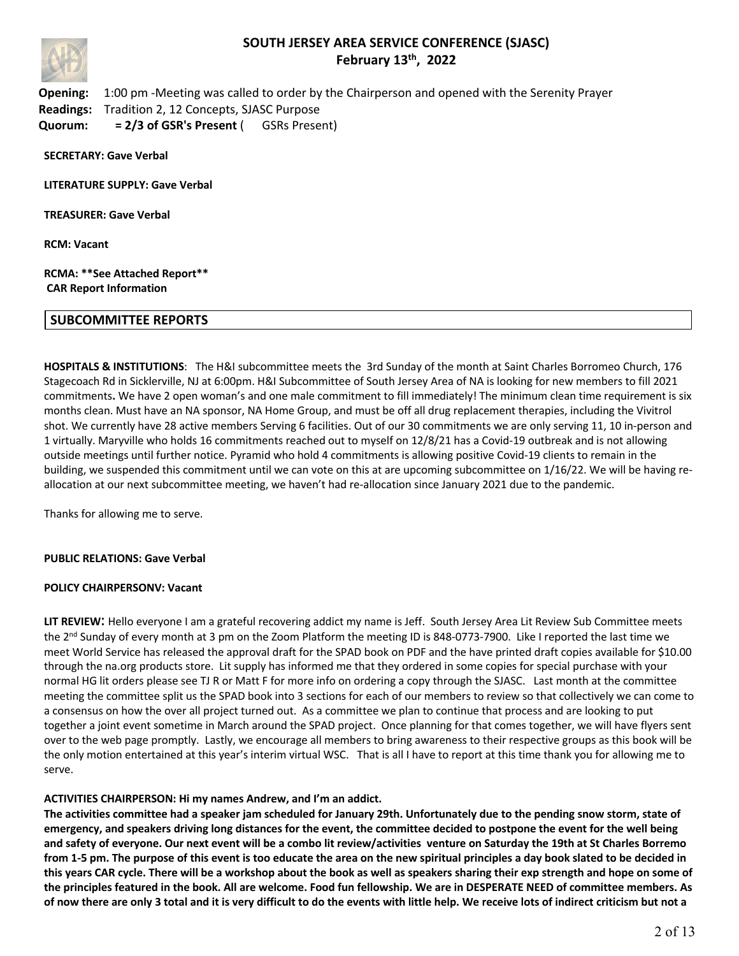

**Opening:** 1:00 pm -Meeting was called to order by the Chairperson and opened with the Serenity Prayer **Readings:** Tradition 2, 12 Concepts, SJASC Purpose **Quorum: = 2/3 of GSR's Present** ( GSRs Present)

**SECRETARY: Gave Verbal**

**LITERATURE SUPPLY: Gave Verbal**

**TREASURER: Gave Verbal**

**RCM: Vacant**

#### **RCMA: \*\*See Attached Report\*\* CAR Report Information**

#### **SUBCOMMITTEE REPORTS**

**HOSPITALS & INSTITUTIONS**: The H&I subcommittee meets the 3rd Sunday of the month at Saint Charles Borromeo Church, 176 Stagecoach Rd in Sicklerville, NJ at 6:00pm. H&I Subcommittee of South Jersey Area of NA is looking for new members to fill 2021 commitments**.** We have 2 open woman's and one male commitment to fill immediately! The minimum clean time requirement is six months clean. Must have an NA sponsor, NA Home Group, and must be off all drug replacement therapies, including the Vivitrol shot. We currently have 28 active members Serving 6 facilities. Out of our 30 commitments we are only serving 11, 10 in-person and 1 virtually. Maryville who holds 16 commitments reached out to myself on 12/8/21 has a Covid-19 outbreak and is not allowing outside meetings until further notice. Pyramid who hold 4 commitments is allowing positive Covid-19 clients to remain in the building, we suspended this commitment until we can vote on this at are upcoming subcommittee on 1/16/22. We will be having reallocation at our next subcommittee meeting, we haven't had re-allocation since January 2021 due to the pandemic.

Thanks for allowing me to serve.

#### **PUBLIC RELATIONS: Gave Verbal**

#### **POLICY CHAIRPERSONV: Vacant**

**LIT REVIEW**: Hello everyone I am a grateful recovering addict my name is Jeff. South Jersey Area Lit Review Sub Committee meets the 2nd Sunday of every month at 3 pm on the Zoom Platform the meeting ID is 848-0773-7900. Like I reported the last time we meet World Service has released the approval draft for the SPAD book on PDF and the have printed draft copies available for \$10.00 through the na.org products store. Lit supply has informed me that they ordered in some copies for special purchase with your normal HG lit orders please see TJ R or Matt F for more info on ordering a copy through the SJASC. Last month at the committee meeting the committee split us the SPAD book into 3 sections for each of our members to review so that collectively we can come to a consensus on how the over all project turned out. As a committee we plan to continue that process and are looking to put together a joint event sometime in March around the SPAD project. Once planning for that comes together, we will have flyers sent over to the web page promptly. Lastly, we encourage all members to bring awareness to their respective groups as this book will be the only motion entertained at this year's interim virtual WSC. That is all I have to report at this time thank you for allowing me to serve.

#### **ACTIVITIES CHAIRPERSON: Hi my names Andrew, and I'm an addict.**

**The activities committee had a speaker jam scheduled for January 29th. Unfortunately due to the pending snow storm, state of emergency, and speakers driving long distances for the event, the committee decided to postpone the event for the well being and safety of everyone. Our next event will be a combo lit review/activities venture on Saturday the 19th at St Charles Borremo from 1-5 pm. The purpose of this event is too educate the area on the new spiritual principles a day book slated to be decided in this years CAR cycle. There will be a workshop about the book as well as speakers sharing their exp strength and hope on some of the principles featured in the book. All are welcome. Food fun fellowship. We are in DESPERATE NEED of committee members. As of now there are only 3 total and it is very difficult to do the events with little help. We receive lots of indirect criticism but not a**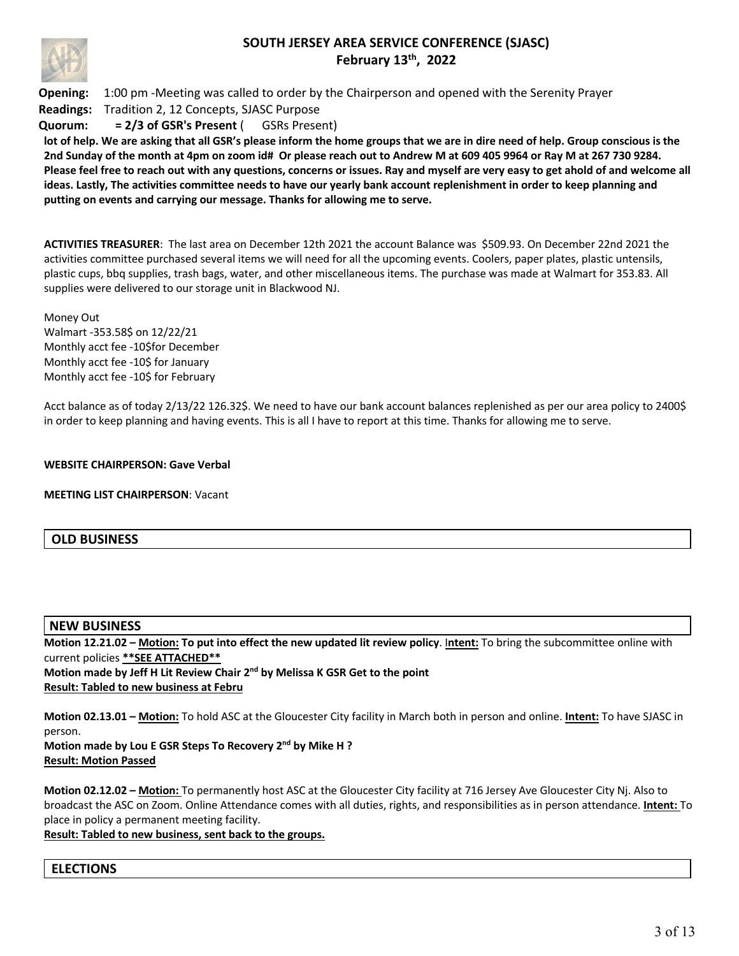

**Opening:** 1:00 pm -Meeting was called to order by the Chairperson and opened with the Serenity Prayer **Readings:** Tradition 2, 12 Concepts, SJASC Purpose **Quorum: = 2/3 of GSR's Present** ( GSRs Present)

**lot of help. We are asking that all GSR's please inform the home groups that we are in dire need of help. Group conscious is the 2nd Sunday of the month at 4pm on zoom id# Or please reach out to Andrew M at 609 405 9964 or Ray M at 267 730 9284. Please feel free to reach out with any questions, concerns or issues. Ray and myself are very easy to get ahold of and welcome all ideas. Lastly, The activities committee needs to have our yearly bank account replenishment in order to keep planning and putting on events and carrying our message. Thanks for allowing me to serve.**

**ACTIVITIES TREASURER**: The last area on December 12th 2021 the account Balance was \$509.93. On December 22nd 2021 the activities committee purchased several items we will need for all the upcoming events. Coolers, paper plates, plastic untensils, plastic cups, bbq supplies, trash bags, water, and other miscellaneous items. The purchase was made at Walmart for 353.83. All supplies were delivered to our storage unit in Blackwood NJ.

Money Out Walmart -353.58\$ on 12/22/21 Monthly acct fee -10\$for December Monthly acct fee -10\$ for January Monthly acct fee -10\$ for February

Acct balance as of today 2/13/22 126.32\$. We need to have our bank account balances replenished as per our area policy to 2400\$ in order to keep planning and having events. This is all I have to report at this time. Thanks for allowing me to serve.

**WEBSITE CHAIRPERSON: Gave Verbal**

**MEETING LIST CHAIRPERSON**: Vacant

### **OLD BUSINESS**

#### **NEW BUSINESS**

**Motion 12.21.02 – Motion: To put into effect the new updated lit review policy**. I**ntent:** To bring the subcommittee online with current policies **\*\*SEE ATTACHED\*\* Motion made by Jeff H Lit Review Chair 2nd by Melissa K GSR Get to the point Result: Tabled to new business at Febru**

**Motion 02.13.01 – Motion:** To hold ASC at the Gloucester City facility in March both in person and online. **Intent:** To have SJASC in person. **Motion made by Lou E GSR Steps To Recovery 2nd by Mike H ?**

**Result: Motion Passed**

**Motion 02.12.02 – Motion:** To permanently host ASC at the Gloucester City facility at 716 Jersey Ave Gloucester City Nj. Also to broadcast the ASC on Zoom. Online Attendance comes with all duties, rights, and responsibilities as in person attendance. **Intent:** To place in policy a permanent meeting facility.

**Result: Tabled to new business, sent back to the groups.**

### **ELECTIONS**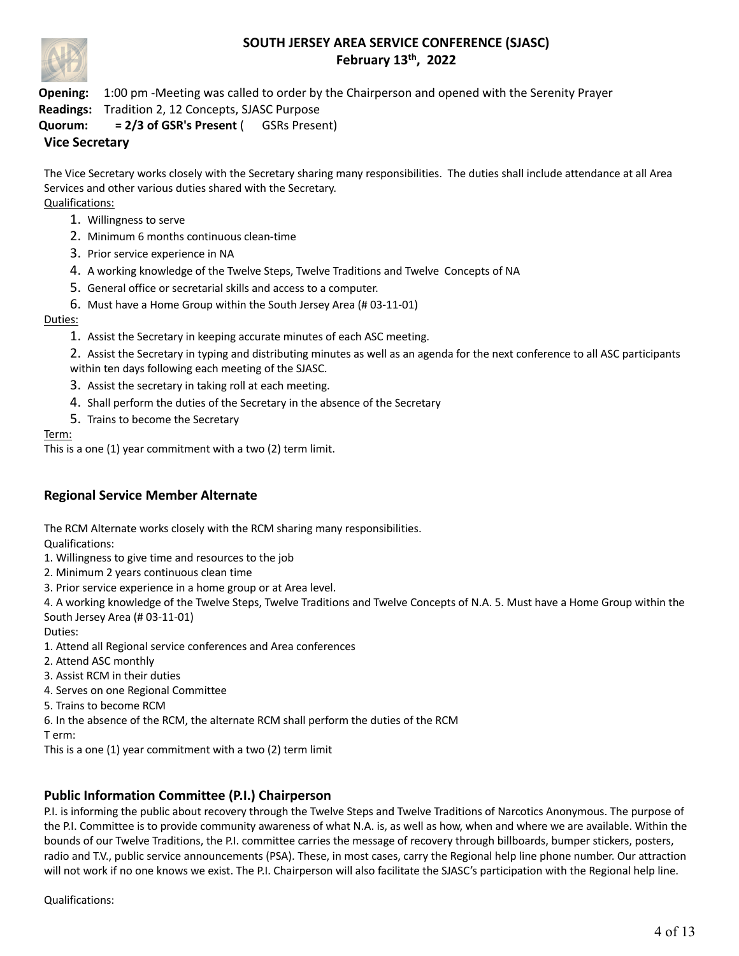

**Opening:** 1:00 pm -Meeting was called to order by the Chairperson and opened with the Serenity Prayer **Readings:** Tradition 2, 12 Concepts, SJASC Purpose

**Quorum: = 2/3 of GSR's Present** ( GSRs Present)

## **Vice Secretary**

The Vice Secretary works closely with the Secretary sharing many responsibilities. The duties shall include attendance at all Area Services and other various duties shared with the Secretary. Qualifications:

- 1. Willingness to serve
- 2. Minimum 6 months continuous clean-time
- 3. Prior service experience in NA
- 4. A working knowledge of the Twelve Steps, Twelve Traditions and Twelve Concepts of NA
- 5. General office or secretarial skills and access to a computer.
- 6. Must have a Home Group within the South Jersey Area (# 03-11-01)

### Duties:

1. Assist the Secretary in keeping accurate minutes of each ASC meeting.

2. Assist the Secretary in typing and distributing minutes as well as an agenda for the next conference to all ASC participants within ten days following each meeting of the SJASC.

- 3. Assist the secretary in taking roll at each meeting.
- 4. Shall perform the duties of the Secretary in the absence of the Secretary
- 5. Trains to become the Secretary

Term:

This is a one (1) year commitment with a two (2) term limit.

## **Regional Service Member Alternate**

The RCM Alternate works closely with the RCM sharing many responsibilities.

Qualifications:

- 1. Willingness to give time and resources to the job
- 2. Minimum 2 years continuous clean time
- 3. Prior service experience in a home group or at Area level.

4. A working knowledge of the Twelve Steps, Twelve Traditions and Twelve Concepts of N.A. 5. Must have a Home Group within the South Jersey Area (# 03-11-01)

Duties:

- 1. Attend all Regional service conferences and Area conferences
- 2. Attend ASC monthly
- 3. Assist RCM in their duties
- 4. Serves on one Regional Committee
- 5. Trains to become RCM
- 6. In the absence of the RCM, the alternate RCM shall perform the duties of the RCM

T erm:

This is a one (1) year commitment with a two (2) term limit

## **Public Information Committee (P.I.) Chairperson**

P.I. is informing the public about recovery through the Twelve Steps and Twelve Traditions of Narcotics Anonymous. The purpose of the P.I. Committee is to provide community awareness of what N.A. is, as well as how, when and where we are available. Within the bounds of our Twelve Traditions, the P.I. committee carries the message of recovery through billboards, bumper stickers, posters, radio and T.V., public service announcements (PSA). These, in most cases, carry the Regional help line phone number. Our attraction will not work if no one knows we exist. The P.I. Chairperson will also facilitate the SJASC's participation with the Regional help line.

Qualifications: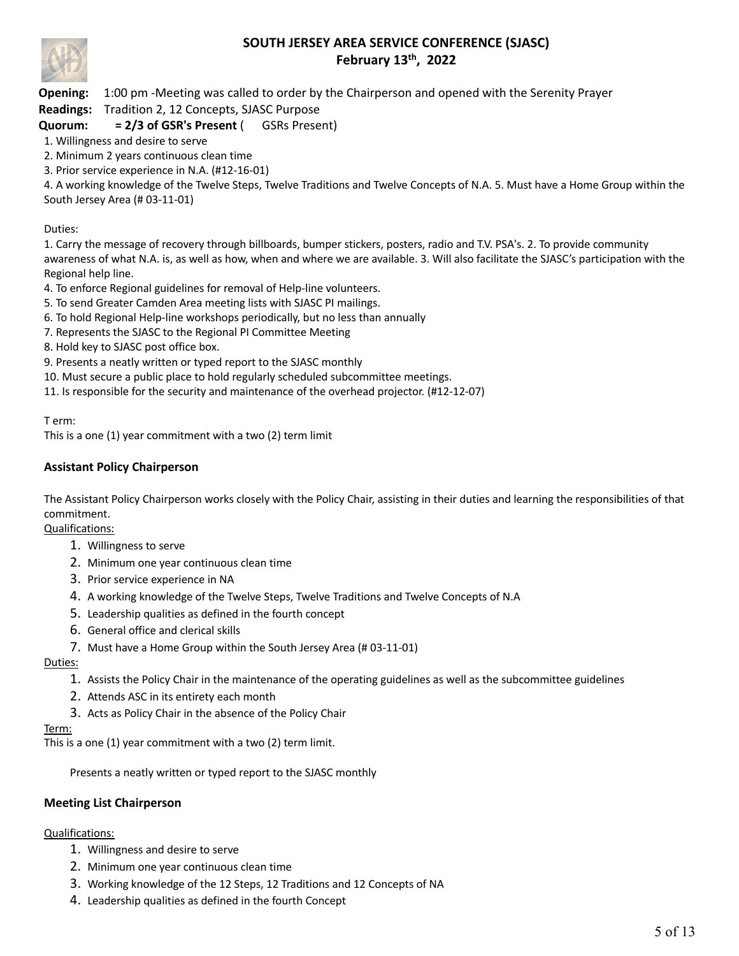

**Opening:** 1:00 pm -Meeting was called to order by the Chairperson and opened with the Serenity Prayer **Readings:** Tradition 2, 12 Concepts, SJASC Purpose

## **Quorum: = 2/3 of GSR's Present** ( GSRs Present)

- 1. Willingness and desire to serve
- 2. Minimum 2 years continuous clean time
- 3. Prior service experience in N.A. (#12-16-01)

4. A working knowledge of the Twelve Steps, Twelve Traditions and Twelve Concepts of N.A. 5. Must have a Home Group within the South Jersey Area (# 03-11-01)

#### Duties:

1. Carry the message of recovery through billboards, bumper stickers, posters, radio and T.V. PSA's. 2. To provide community awareness of what N.A. is, as well as how, when and where we are available. 3. Will also facilitate the SJASC's participation with the Regional help line.

- 4. To enforce Regional guidelines for removal of Help-line volunteers.
- 5. To send Greater Camden Area meeting lists with SJASC PI mailings.
- 6. To hold Regional Help-line workshops periodically, but no less than annually
- 7. Represents the SJASC to the Regional PI Committee Meeting
- 8. Hold key to SJASC post office box.
- 9. Presents a neatly written or typed report to the SJASC monthly
- 10. Must secure a public place to hold regularly scheduled subcommittee meetings.
- 11. Is responsible for the security and maintenance of the overhead projector. (#12-12-07)

T erm:

This is a one (1) year commitment with a two (2) term limit

### **Assistant Policy Chairperson**

The Assistant Policy Chairperson works closely with the Policy Chair, assisting in their duties and learning the responsibilities of that commitment.

#### Qualifications:

- 1. Willingness to serve
- 2. Minimum one year continuous clean time
- 3. Prior service experience in NA
- 4. A working knowledge of the Twelve Steps, Twelve Traditions and Twelve Concepts of N.A
- 5. Leadership qualities as defined in the fourth concept
- 6. General office and clerical skills
- 7. Must have a Home Group within the South Jersey Area (# 03-11-01)

Duties:

- 1. Assists the Policy Chair in the maintenance of the operating guidelines as well as the subcommittee guidelines
- 2. Attends ASC in its entirety each month
- 3. Acts as Policy Chair in the absence of the Policy Chair

#### Term:

This is a one (1) year commitment with a two (2) term limit.

Presents a neatly written or typed report to the SJASC monthly

#### **Meeting List Chairperson**

#### Qualifications:

- 1. Willingness and desire to serve
- 2. Minimum one year continuous clean time
- 3. Working knowledge of the 12 Steps, 12 Traditions and 12 Concepts of NA
- 4. Leadership qualities as defined in the fourth Concept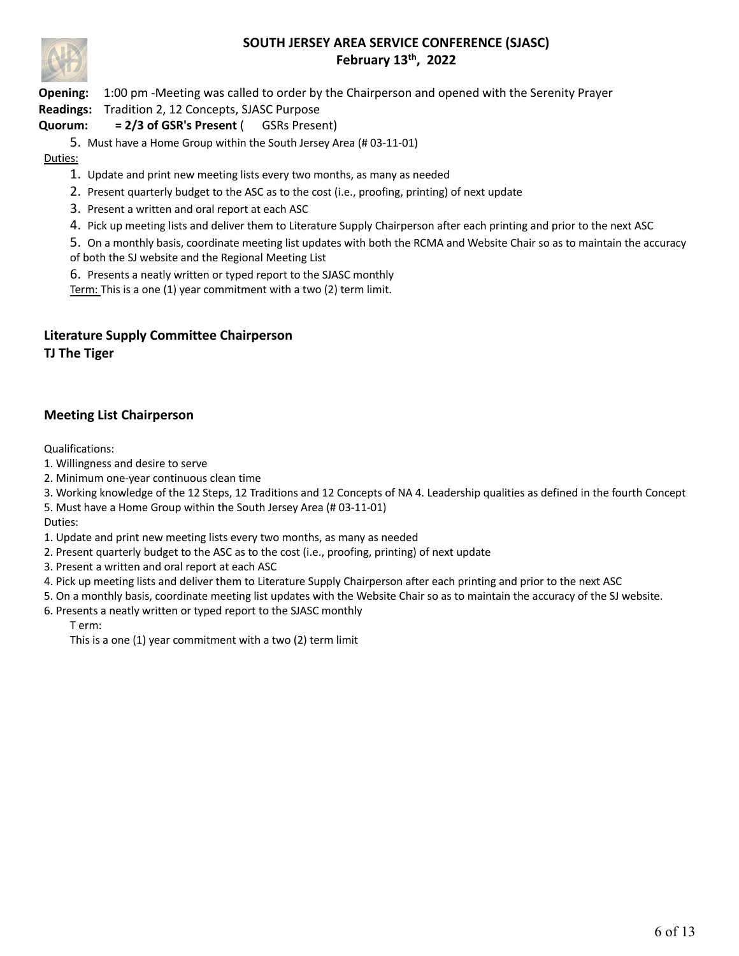

**Opening:** 1:00 pm -Meeting was called to order by the Chairperson and opened with the Serenity Prayer

**Readings:** Tradition 2, 12 Concepts, SJASC Purpose

## **Quorum: = 2/3 of GSR's Present** ( GSRs Present)

5. Must have a Home Group within the South Jersey Area (# 03-11-01)

## Duties:

1. Update and print new meeting lists every two months, as many as needed

2. Present quarterly budget to the ASC as to the cost (i.e., proofing, printing) of next update

3. Present a written and oral report at each ASC

4. Pick up meeting lists and deliver them to Literature Supply Chairperson after each printing and prior to the next ASC

5. On a monthly basis, coordinate meeting list updates with both the RCMA and Website Chair so as to maintain the accuracy of both the SJ website and the Regional Meeting List

6. Presents a neatly written or typed report to the SJASC monthly Term: This is a one (1) year commitment with a two (2) term limit.

## **Literature Supply Committee Chairperson TJ The Tiger**

## **Meeting List Chairperson**

Qualifications:

1. Willingness and desire to serve

2. Minimum one-year continuous clean time

3. Working knowledge of the 12 Steps, 12 Traditions and 12 Concepts of NA 4. Leadership qualities as defined in the fourth Concept

5. Must have a Home Group within the South Jersey Area (# 03-11-01)

Duties:

1. Update and print new meeting lists every two months, as many as needed

- 2. Present quarterly budget to the ASC as to the cost (i.e., proofing, printing) of next update
- 3. Present a written and oral report at each ASC
- 4. Pick up meeting lists and deliver them to Literature Supply Chairperson after each printing and prior to the next ASC
- 5. On a monthly basis, coordinate meeting list updates with the Website Chair so as to maintain the accuracy of the SJ website.
- 6. Presents a neatly written or typed report to the SJASC monthly T erm:

This is a one (1) year commitment with a two (2) term limit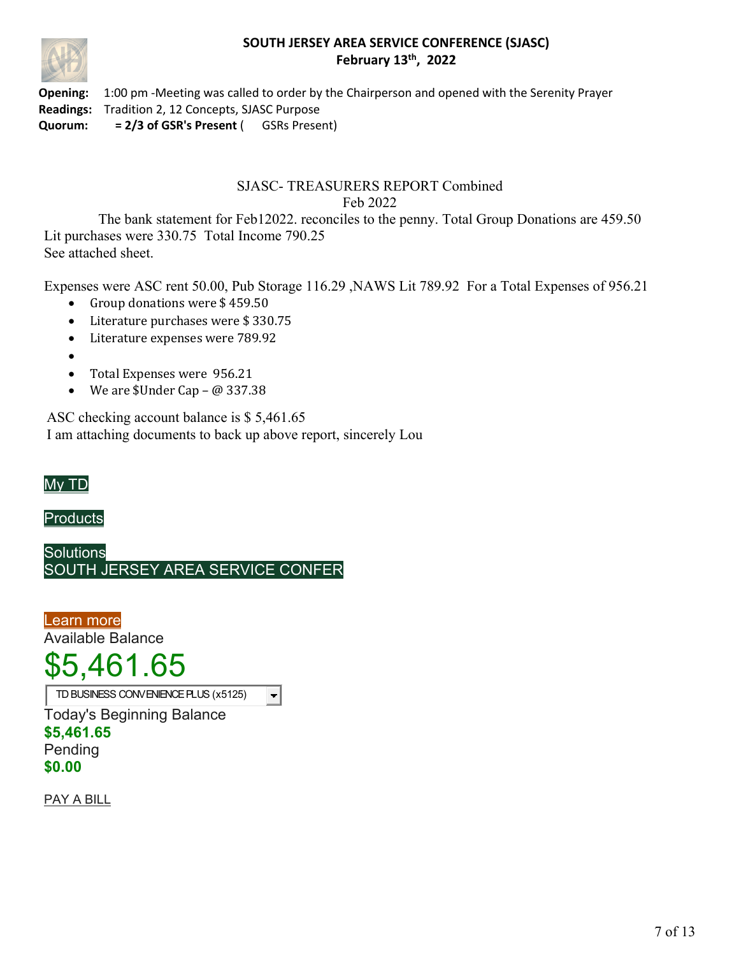

**Opening:** 1:00 pm -Meeting was called to order by the Chairperson and opened with the Serenity Prayer **Readings:** Tradition 2, 12 Concepts, SJASC Purpose **Quorum: = 2/3 of GSR's Present** ( GSRs Present)

## SJASC- TREASURERS REPORT Combined Feb 2022

The bank statement for Feb12022. reconciles to the penny. Total Group Donations are 459.50 Lit purchases were 330.75 Total Income 790.25 See attached sheet.

Expenses were ASC rent 50.00, Pub Storage 116.29 ,NAWS Lit 789.92 For a Total Expenses of 956.21

- Group donations were \$459.50
- Literature purchases were \$330.75
- Literature expenses were 789.92
- •
- Total Expenses were 956.21
- We are  $$Under Cap @ 337.38$

ASC checking account balance is \$ 5,461.65 I am attaching documents to back up above report, sincerely Lou



**Products** 

**Solutions** SOUTH JERSEY AREA SERVICE CONFER

Learn more Available Balance

# \$5,461.65

TD BUSINESS CONVENIENCE PLUS (x5125) $\blacksquare$ 

Today's Beginning Balance **\$5,461.65** Pending **\$0.00**

PAY A BILL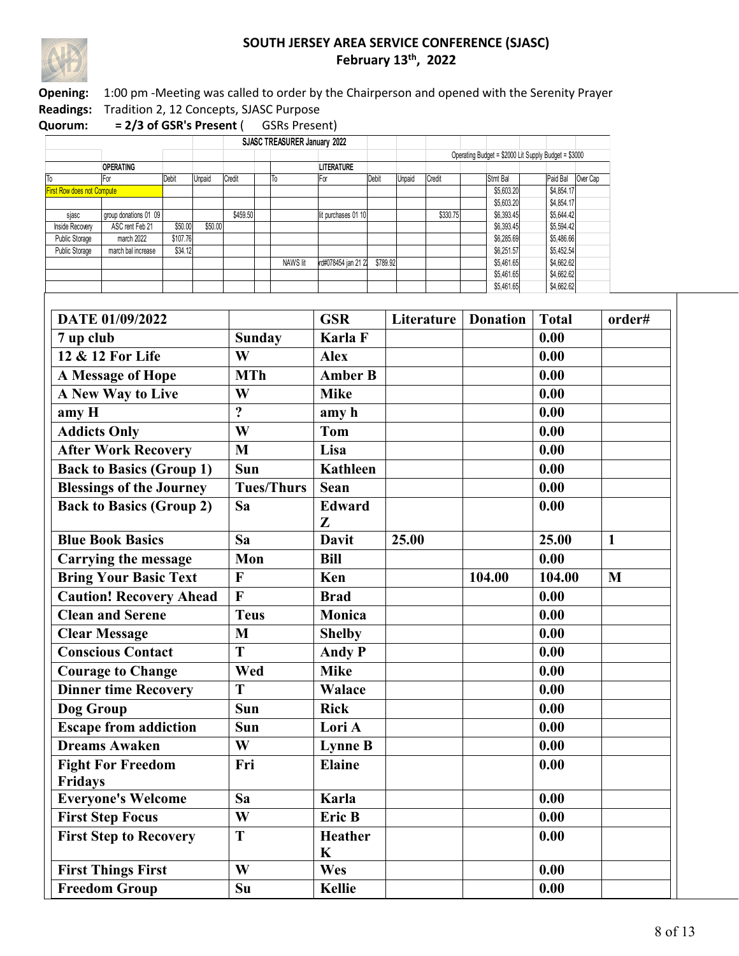

**Opening:** 1:00 pm -Meeting was called to order by the Chairperson and opened with the Serenity Prayer **Readings:** Tradition 2, 12 Concepts, SJASC Purpose

|                                   |                       |          |         |          |  | SJASC TREASURER January 2022 |                     |          |        |          |            |                                                      |            |          |  |
|-----------------------------------|-----------------------|----------|---------|----------|--|------------------------------|---------------------|----------|--------|----------|------------|------------------------------------------------------|------------|----------|--|
|                                   |                       |          |         |          |  |                              |                     |          |        |          |            | Operating Budget = \$2000 Lit Supply Budget = \$3000 |            |          |  |
|                                   | <b>OPERATING</b>      |          |         |          |  |                              | <b>LITERATURE</b>   |          |        |          |            |                                                      |            |          |  |
| ΙTο                               | For                   | Debit    | Unpaid  | Credit   |  | To                           | F٥                  | Debit    | Unpaid | Credit   | Stmt Bal   |                                                      | Paid Bal   | Over Cap |  |
| <b>First Row does not Compute</b> |                       |          |         |          |  |                              |                     |          |        |          | \$5,603.20 |                                                      | \$4,854.17 |          |  |
|                                   |                       |          |         |          |  |                              |                     |          |        |          | \$5,603.20 |                                                      | \$4,854.17 |          |  |
| sjasc                             | group donations 01 09 |          |         | \$459.50 |  |                              | t purchases 01 10   |          |        | \$330.75 | \$6,393.45 |                                                      | \$5,644.42 |          |  |
| Inside Recoverv                   | ASC rent Feb 21       | \$50.00  | \$50.00 |          |  |                              |                     |          |        |          | \$6,393.45 |                                                      | \$5,594.42 |          |  |
| Public Storage                    | march 2022            | \$107.76 |         |          |  |                              |                     |          |        |          | \$6,285.69 |                                                      | \$5,486.66 |          |  |
| Public Storage                    | march bal increase    | \$34.12  |         |          |  |                              |                     |          |        |          | \$6,251.57 |                                                      | \$5,452.54 |          |  |
|                                   |                       |          |         |          |  | NAWS lit                     | rd#078454 jan 21 22 | \$789.92 |        |          | \$5,461.65 |                                                      | \$4,662.62 |          |  |
|                                   |                       |          |         |          |  |                              |                     |          |        |          | \$5,461.65 |                                                      | \$4,662.62 |          |  |
|                                   |                       |          |         |          |  |                              |                     |          |        |          | \$5,461.65 |                                                      | \$4,662.62 |          |  |

| DATE 01/09/2022                            |                   | <b>GSR</b>                    | Literature   Donation |        | <b>Total</b> | order#       |
|--------------------------------------------|-------------------|-------------------------------|-----------------------|--------|--------------|--------------|
| 7 up club                                  | <b>Sunday</b>     | Karla F                       |                       |        | 0.00         |              |
| 12 & 12 For Life                           | W                 | <b>Alex</b>                   |                       |        | 0.00         |              |
| A Message of Hope                          | <b>MTh</b>        | <b>Amber B</b>                |                       |        | 0.00         |              |
| A New Way to Live                          | W                 | <b>Mike</b>                   |                       |        | 0.00         |              |
| amy H                                      | $\overline{?}$    | amy h                         |                       |        | 0.00         |              |
| <b>Addicts Only</b>                        | W                 | <b>Tom</b>                    |                       |        | 0.00         |              |
| <b>After Work Recovery</b>                 | M                 | Lisa                          |                       |        | 0.00         |              |
| <b>Back to Basics (Group 1)</b>            | Sun               | <b>Kathleen</b>               |                       |        | 0.00         |              |
| <b>Blessings of the Journey</b>            | <b>Tues/Thurs</b> | <b>Sean</b>                   |                       |        | 0.00         |              |
| <b>Back to Basics (Group 2)</b>            | Sa                | <b>Edward</b><br>Z            |                       |        | 0.00         |              |
| <b>Blue Book Basics</b>                    | Sa                | <b>Davit</b>                  | 25.00                 |        | 25.00        | $\mathbf{1}$ |
| <b>Carrying the message</b>                | Mon               | <b>Bill</b>                   |                       |        | 0.00         |              |
| <b>Bring Your Basic Text</b>               | $\mathbf{F}$      | Ken                           |                       | 104.00 | 104.00       | M            |
| <b>Caution! Recovery Ahead</b>             | $\overline{F}$    | <b>Brad</b>                   |                       |        | 0.00         |              |
| <b>Clean and Serene</b>                    | <b>Teus</b>       | Monica                        |                       |        | 0.00         |              |
| <b>Clear Message</b>                       | M                 | <b>Shelby</b>                 |                       |        | 0.00         |              |
| <b>Conscious Contact</b>                   | $\overline{T}$    | <b>Andy P</b>                 |                       |        | 0.00         |              |
| <b>Courage to Change</b>                   | Wed               | <b>Mike</b>                   |                       |        | 0.00         |              |
| <b>Dinner time Recovery</b>                | T                 | <b>Walace</b>                 |                       |        | 0.00         |              |
| Dog Group                                  | Sun               | <b>Rick</b>                   |                       |        | 0.00         |              |
| <b>Escape from addiction</b>               | Sun               | Lori A                        |                       |        | 0.00         |              |
| <b>Dreams Awaken</b>                       | W                 | <b>Lynne B</b>                |                       |        | 0.00         |              |
| <b>Fight For Freedom</b><br><b>Fridays</b> | Fri               | <b>Elaine</b>                 |                       |        | 0.00         |              |
| <b>Everyone's Welcome</b>                  | Sa                | Karla                         |                       |        | 0.00         |              |
| <b>First Step Focus</b>                    | W                 | Eric B                        |                       |        | 0.00         |              |
| <b>First Step to Recovery</b>              | T                 | <b>Heather</b><br>$\mathbf K$ |                       |        | 0.00         |              |
| <b>First Things First</b>                  | W                 | Wes                           |                       |        | 0.00         |              |
| <b>Freedom Group</b>                       | Su                | <b>Kellie</b>                 |                       |        | 0.00         |              |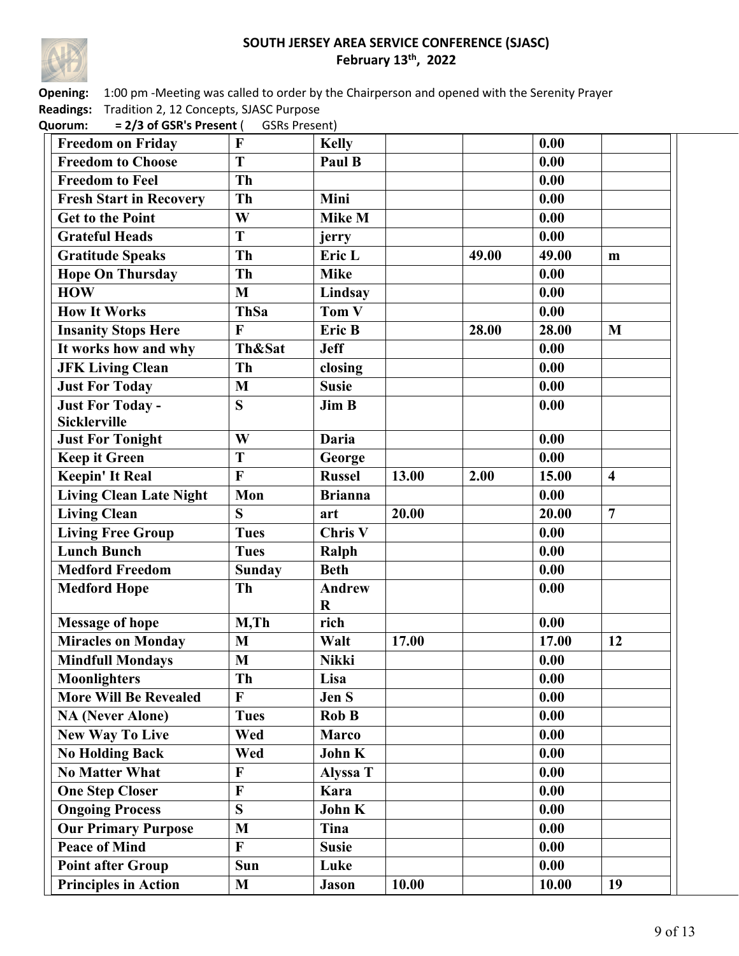

**Opening:** 1:00 pm -Meeting was called to order by the Chairperson and opened with the Serenity Prayer **Readings:** Tradition 2, 12 Concepts, SJASC Purpose

| <b>Freedom on Friday</b>       | F              | <b>Kelly</b>             |       |       | 0.00  |                         |
|--------------------------------|----------------|--------------------------|-------|-------|-------|-------------------------|
| <b>Freedom to Choose</b>       | T              | Paul B                   |       |       | 0.00  |                         |
| <b>Freedom to Feel</b>         | Th             |                          |       |       | 0.00  |                         |
| <b>Fresh Start in Recovery</b> | Th             | Mini                     |       |       | 0.00  |                         |
| <b>Get to the Point</b>        | W              | <b>Mike M</b>            |       |       | 0.00  |                         |
| <b>Grateful Heads</b>          | $\overline{T}$ | jerry                    |       |       | 0.00  |                         |
| <b>Gratitude Speaks</b>        | Th             | Eric L                   |       | 49.00 | 49.00 | m                       |
| <b>Hope On Thursday</b>        | Th             | <b>Mike</b>              |       |       | 0.00  |                         |
| <b>HOW</b>                     | M              | Lindsay                  |       |       | 0.00  |                         |
| <b>How It Works</b>            | <b>ThSa</b>    | Tom V                    |       |       | 0.00  |                         |
| <b>Insanity Stops Here</b>     | F              | Eric B                   |       | 28.00 | 28.00 | M                       |
| It works how and why           | Th&Sat         | <b>Jeff</b>              |       |       | 0.00  |                         |
| <b>JFK Living Clean</b>        | Th             | closing                  |       |       | 0.00  |                         |
| <b>Just For Today</b>          | M              | <b>Susie</b>             |       |       | 0.00  |                         |
| <b>Just For Today -</b>        | S              | <b>Jim B</b>             |       |       | 0.00  |                         |
| <b>Sicklerville</b>            |                |                          |       |       |       |                         |
| <b>Just For Tonight</b>        | W              | <b>Daria</b>             |       |       | 0.00  |                         |
| <b>Keep it Green</b>           | T              | George                   |       |       | 0.00  |                         |
| <b>Keepin' It Real</b>         | F              | <b>Russel</b>            | 13.00 | 2.00  | 15.00 | $\overline{\mathbf{4}}$ |
| <b>Living Clean Late Night</b> | Mon            | <b>Brianna</b>           |       |       | 0.00  |                         |
| <b>Living Clean</b>            | $\mathbf S$    | art                      | 20.00 |       | 20.00 | $\overline{7}$          |
| <b>Living Free Group</b>       | <b>Tues</b>    | Chris <sub>V</sub>       |       |       | 0.00  |                         |
| <b>Lunch Bunch</b>             | <b>Tues</b>    | Ralph                    |       |       | 0.00  |                         |
| <b>Medford Freedom</b>         | <b>Sunday</b>  | <b>Beth</b>              |       |       | 0.00  |                         |
| <b>Medford Hope</b>            | Th             | <b>Andrew</b><br>$\bf R$ |       |       | 0.00  |                         |
| <b>Message of hope</b>         | $M$ , Th       | rich                     |       |       | 0.00  |                         |
| <b>Miracles on Monday</b>      | M              | Walt                     | 17.00 |       | 17.00 | 12                      |
| <b>Mindfull Mondays</b>        | M              | <b>Nikki</b>             |       |       | 0.00  |                         |
| Moonlighters                   | Th             | Lisa                     |       |       | 0.00  |                         |
| <b>More Will Be Revealed</b>   | F              | Jen S                    |       |       | 0.00  |                         |
| <b>NA (Never Alone)</b>        | <b>Tues</b>    | Rob B                    |       |       | 0.00  |                         |
| <b>New Way To Live</b>         | Wed            | <b>Marco</b>             |       |       | 0.00  |                         |
| <b>No Holding Back</b>         | Wed            | John K                   |       |       | 0.00  |                         |
| <b>No Matter What</b>          | F              | Alyssa T                 |       |       | 0.00  |                         |
| <b>One Step Closer</b>         | F              | Kara                     |       |       | 0.00  |                         |
| <b>Ongoing Process</b>         | S              | John K                   |       |       | 0.00  |                         |
| <b>Our Primary Purpose</b>     | M              | Tina                     |       |       | 0.00  |                         |
| <b>Peace of Mind</b>           | F              | <b>Susie</b>             |       |       | 0.00  |                         |
| <b>Point after Group</b>       | Sun            | Luke                     |       |       | 0.00  |                         |
| <b>Principles in Action</b>    | M              | <b>Jason</b>             | 10.00 |       | 10.00 | 19                      |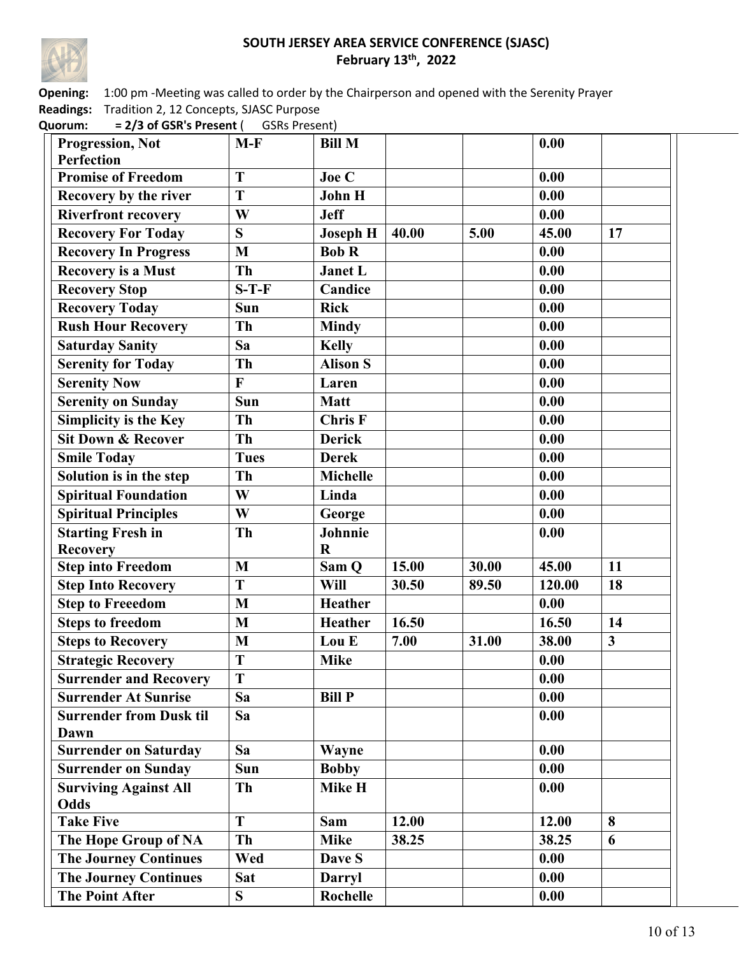

**Opening:** 1:00 pm -Meeting was called to order by the Chairperson and opened with the Serenity Prayer **Readings:** Tradition 2, 12 Concepts, SJASC Purpose

| <b>Progression, Not</b>        | $M-F$          | <b>Bill M</b>   |       |       | 0.00   |                         |
|--------------------------------|----------------|-----------------|-------|-------|--------|-------------------------|
| <b>Perfection</b>              |                |                 |       |       |        |                         |
| <b>Promise of Freedom</b>      | T              | Joe C           |       |       | 0.00   |                         |
| Recovery by the river          | T              | <b>John H</b>   |       |       | 0.00   |                         |
| <b>Riverfront recovery</b>     | W              | <b>Jeff</b>     |       |       | 0.00   |                         |
| <b>Recovery For Today</b>      | S              | <b>Joseph H</b> | 40.00 | 5.00  | 45.00  | 17                      |
| <b>Recovery In Progress</b>    | M              | <b>Bob R</b>    |       |       | 0.00   |                         |
| <b>Recovery is a Must</b>      | Th             | <b>Janet L</b>  |       |       | 0.00   |                         |
| <b>Recovery Stop</b>           | $S-T-F$        | Candice         |       |       | 0.00   |                         |
| <b>Recovery Today</b>          | Sun            | <b>Rick</b>     |       |       | 0.00   |                         |
| <b>Rush Hour Recovery</b>      | <b>Th</b>      | <b>Mindy</b>    |       |       | 0.00   |                         |
| <b>Saturday Sanity</b>         | Sa             | <b>Kelly</b>    |       |       | 0.00   |                         |
| <b>Serenity for Today</b>      | Th             | <b>Alison S</b> |       |       | 0.00   |                         |
| <b>Serenity Now</b>            | $\overline{F}$ | Laren           |       |       | 0.00   |                         |
| <b>Serenity on Sunday</b>      | Sun            | <b>Matt</b>     |       |       | 0.00   |                         |
| Simplicity is the Key          | <b>Th</b>      | <b>Chris F</b>  |       |       | 0.00   |                         |
| <b>Sit Down &amp; Recover</b>  | Th             | <b>Derick</b>   |       |       | 0.00   |                         |
| <b>Smile Today</b>             | <b>Tues</b>    | <b>Derek</b>    |       |       | 0.00   |                         |
| Solution is in the step        | Th             | <b>Michelle</b> |       |       | 0.00   |                         |
| <b>Spiritual Foundation</b>    | W              | Linda           |       |       | 0.00   |                         |
| <b>Spiritual Principles</b>    | W              | George          |       |       | 0.00   |                         |
| <b>Starting Fresh in</b>       | Th             | Johnnie         |       |       | 0.00   |                         |
| <b>Recovery</b>                |                | $\bf R$         |       |       |        |                         |
| <b>Step into Freedom</b>       | M              | Sam Q           | 15.00 | 30.00 | 45.00  | 11                      |
| <b>Step Into Recovery</b>      | $\overline{T}$ | Will            | 30.50 | 89.50 | 120.00 | 18                      |
| <b>Step to Freeedom</b>        | M              | <b>Heather</b>  |       |       | 0.00   |                         |
| <b>Steps to freedom</b>        | M              | <b>Heather</b>  | 16.50 |       | 16.50  | 14                      |
| <b>Steps to Recovery</b>       | M              | Lou E           | 7.00  | 31.00 | 38.00  | $\overline{\mathbf{3}}$ |
| <b>Strategic Recovery</b>      | T              | <b>Mike</b>     |       |       | 0.00   |                         |
| <b>Surrender and Recovery</b>  | T              |                 |       |       | 0.00   |                         |
| <b>Surrender At Sunrise</b>    | Sa             | <b>Bill P</b>   |       |       | 0.00   |                         |
| <b>Surrender from Dusk til</b> | Sa             |                 |       |       | 0.00   |                         |
| Dawn                           |                |                 |       |       |        |                         |
| <b>Surrender on Saturday</b>   | Sa             | Wayne           |       |       | 0.00   |                         |
| <b>Surrender on Sunday</b>     | Sun            | <b>Bobby</b>    |       |       | 0.00   |                         |
| <b>Surviving Against All</b>   | <b>Th</b>      | Mike H          |       |       | 0.00   |                         |
| Odds                           |                |                 |       |       |        |                         |
| <b>Take Five</b>               | T              | Sam             | 12.00 |       | 12.00  | 8                       |
| The Hope Group of NA           | <b>Th</b>      | <b>Mike</b>     | 38.25 |       | 38.25  | 6                       |
| <b>The Journey Continues</b>   | Wed            | Dave S          |       |       | 0.00   |                         |
| <b>The Journey Continues</b>   | Sat            | <b>Darryl</b>   |       |       | 0.00   |                         |
| <b>The Point After</b>         | S              | Rochelle        |       |       | 0.00   |                         |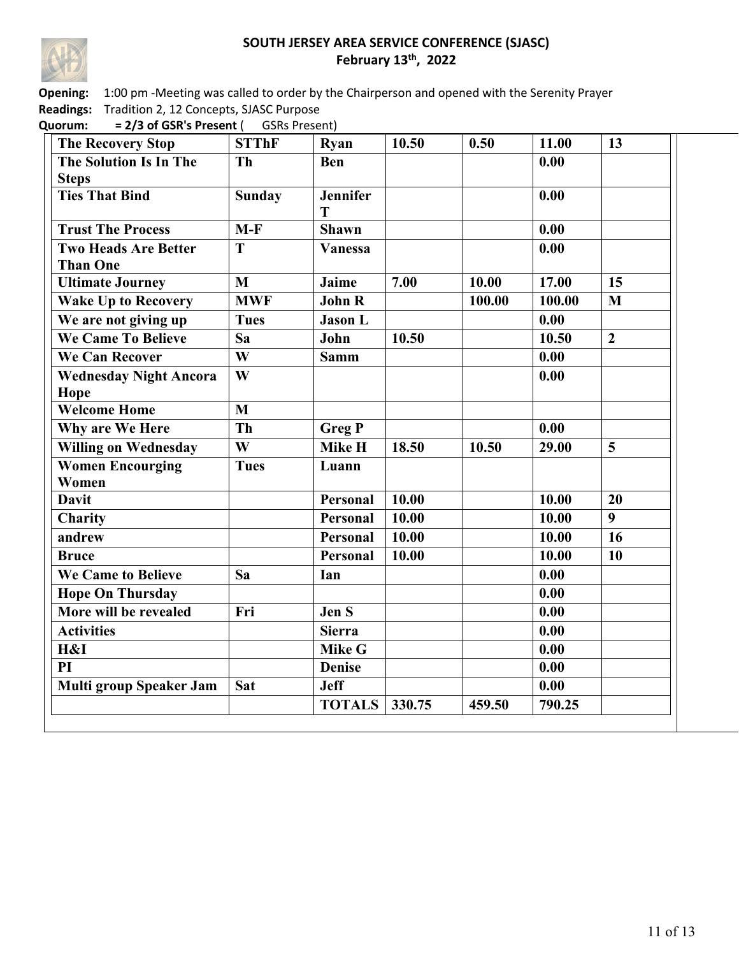

**Opening:** 1:00 pm -Meeting was called to order by the Chairperson and opened with the Serenity Prayer **Readings:** Tradition 2, 12 Concepts, SJASC Purpose

| <b>The Recovery Stop</b>         | <b>STThF</b>            | Ryan                 | 10.50  | 0.50   | 11.00  | 13             |
|----------------------------------|-------------------------|----------------------|--------|--------|--------|----------------|
| <b>The Solution Is In The</b>    | <b>Th</b>               | <b>Ben</b>           |        |        | 0.00   |                |
| <b>Steps</b>                     |                         |                      |        |        |        |                |
| <b>Ties That Bind</b>            | <b>Sunday</b>           | <b>Jennifer</b><br>T |        |        | 0.00   |                |
| <b>Trust The Process</b>         | $M-F$                   | Shawn                |        |        | 0.00   |                |
| <b>Two Heads Are Better</b>      | T                       | <b>Vanessa</b>       |        |        | 0.00   |                |
| <b>Than One</b>                  |                         |                      |        |        |        |                |
| <b>Ultimate Journey</b>          | M                       | Jaime                | 7.00   | 10.00  | 17.00  | 15             |
| <b>Wake Up to Recovery</b>       | <b>MWF</b>              | <b>John R</b>        |        | 100.00 | 100.00 | $\mathbf{M}$   |
| We are not giving up             | <b>Tues</b>             | <b>Jason L</b>       |        |        | 0.00   |                |
| <b>We Came To Believe</b>        | $\overline{Sa}$         | John                 | 10.50  |        | 10.50  | $\overline{2}$ |
| <b>We Can Recover</b>            | W                       | <b>Samm</b>          |        |        | 0.00   |                |
| <b>Wednesday Night Ancora</b>    | $\overline{\mathbf{W}}$ |                      |        |        | 0.00   |                |
| Hope                             |                         |                      |        |        |        |                |
| <b>Welcome Home</b>              | M                       |                      |        |        |        |                |
| Why are We Here                  | Th                      | <b>Greg P</b>        |        |        | 0.00   |                |
| <b>Willing on Wednesday</b>      | $\overline{\mathbf{W}}$ | Mike H               | 18.50  | 10.50  | 29.00  | 5              |
| <b>Women Encourging</b><br>Women | <b>Tues</b>             | Luann                |        |        |        |                |
| <b>Davit</b>                     |                         | Personal             | 10.00  |        | 10.00  | 20             |
| Charity                          |                         | <b>Personal</b>      | 10.00  |        | 10.00  | $\overline{9}$ |
| andrew                           |                         | Personal             | 10.00  |        | 10.00  | 16             |
| <b>Bruce</b>                     |                         | Personal             | 10.00  |        | 10.00  | 10             |
| <b>We Came to Believe</b>        | Sa                      | Ian                  |        |        | 0.00   |                |
| <b>Hope On Thursday</b>          |                         |                      |        |        | 0.00   |                |
| More will be revealed            | Fri                     | Jen S                |        |        | 0.00   |                |
| <b>Activities</b>                |                         | Sierra               |        |        | 0.00   |                |
| H&I                              |                         | <b>Mike G</b>        |        |        | 0.00   |                |
| PI                               |                         | <b>Denise</b>        |        |        | 0.00   |                |
| <b>Multi group Speaker Jam</b>   | Sat                     | <b>Jeff</b>          |        |        | 0.00   |                |
|                                  |                         | <b>TOTALS</b>        | 330.75 | 459.50 | 790.25 |                |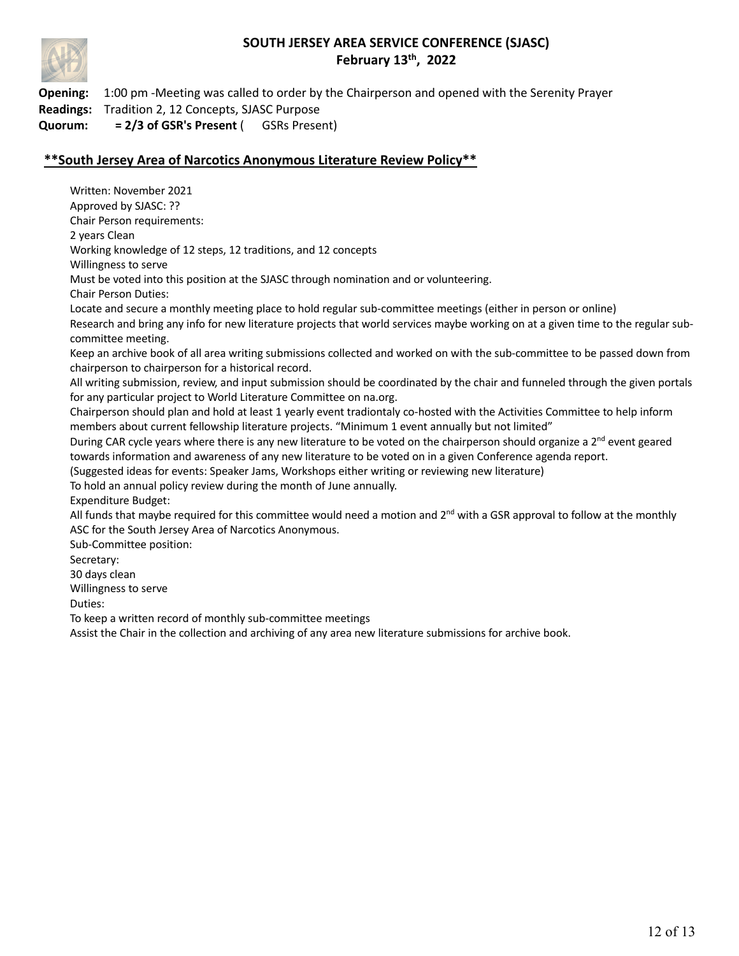

**Opening:** 1:00 pm -Meeting was called to order by the Chairperson and opened with the Serenity Prayer **Readings:** Tradition 2, 12 Concepts, SJASC Purpose **Quorum: = 2/3 of GSR's Present** ( GSRs Present)

## **\*\*South Jersey Area of Narcotics Anonymous Literature Review Policy\*\***

Written: November 2021 Approved by SJASC: ?? Chair Person requirements: 2 years Clean Working knowledge of 12 steps, 12 traditions, and 12 concepts Willingness to serve Must be voted into this position at the SJASC through nomination and or volunteering. Chair Person Duties: Locate and secure a monthly meeting place to hold regular sub-committee meetings (either in person or online) Research and bring any info for new literature projects that world services maybe working on at a given time to the regular subcommittee meeting. Keep an archive book of all area writing submissions collected and worked on with the sub-committee to be passed down from chairperson to chairperson for a historical record. All writing submission, review, and input submission should be coordinated by the chair and funneled through the given portals for any particular project to World Literature Committee on na.org. Chairperson should plan and hold at least 1 yearly event tradiontaly co-hosted with the Activities Committee to help inform members about current fellowship literature projects. "Minimum 1 event annually but not limited" During CAR cycle years where there is any new literature to be voted on the chairperson should organize a  $2^{nd}$  event geared towards information and awareness of any new literature to be voted on in a given Conference agenda report. (Suggested ideas for events: Speaker Jams, Workshops either writing or reviewing new literature) To hold an annual policy review during the month of June annually. Expenditure Budget: All funds that maybe required for this committee would need a motion and  $2^{nd}$  with a GSR approval to follow at the monthly ASC for the South Jersey Area of Narcotics Anonymous. Sub-Committee position: Secretary: 30 days clean Willingness to serve Duties: To keep a written record of monthly sub-committee meetings Assist the Chair in the collection and archiving of any area new literature submissions for archive book.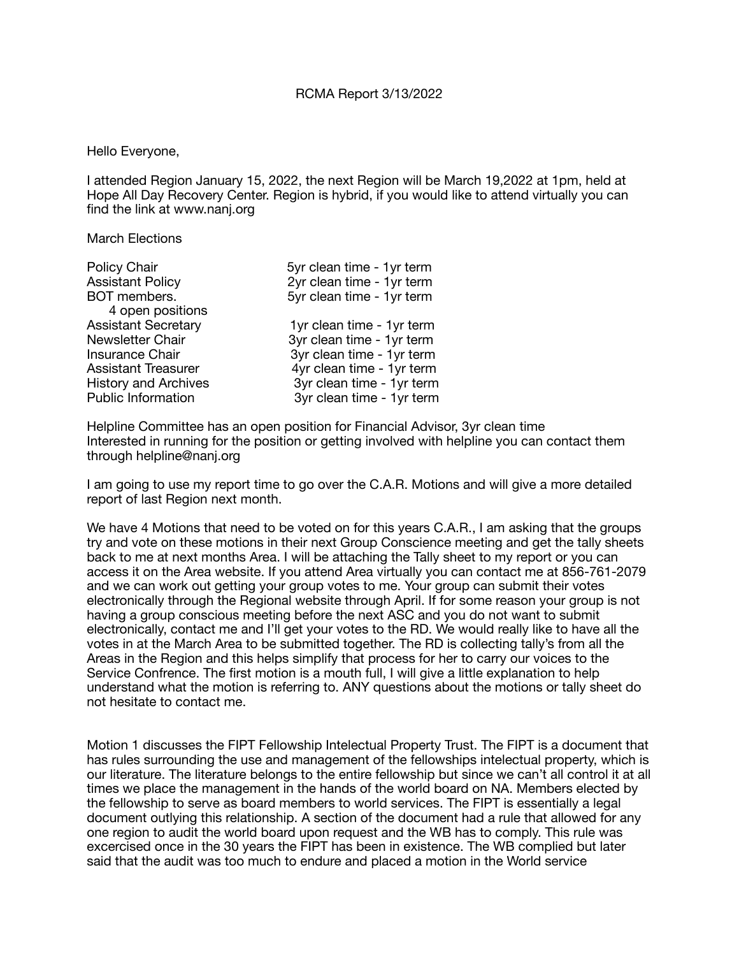#### Hello Everyone,

I attended Region January 15, 2022, the next Region will be March 19,2022 at 1pm, held at Hope All Day Recovery Center. Region is hybrid, if you would like to attend virtually you can find the link at www.nanj.org

March Elections

| Policy Chair                | 5yr clean time - 1yr term |
|-----------------------------|---------------------------|
| <b>Assistant Policy</b>     | 2yr clean time - 1yr term |
| BOT members.                | 5yr clean time - 1yr term |
| 4 open positions            |                           |
| <b>Assistant Secretary</b>  | 1yr clean time - 1yr term |
| Newsletter Chair            | 3yr clean time - 1yr term |
| <b>Insurance Chair</b>      | 3yr clean time - 1yr term |
| <b>Assistant Treasurer</b>  | 4yr clean time - 1yr term |
| <b>History and Archives</b> | 3yr clean time - 1yr term |
| <b>Public Information</b>   | 3yr clean time - 1yr term |

Helpline Committee has an open position for Financial Advisor, 3yr clean time Interested in running for the position or getting involved with helpline you can contact them through helpline@nanj.org

I am going to use my report time to go over the C.A.R. Motions and will give a more detailed report of last Region next month.

We have 4 Motions that need to be voted on for this years C.A.R., I am asking that the groups try and vote on these motions in their next Group Conscience meeting and get the tally sheets back to me at next months Area. I will be attaching the Tally sheet to my report or you can access it on the Area website. If you attend Area virtually you can contact me at 856-761-2079 and we can work out getting your group votes to me. Your group can submit their votes electronically through the Regional website through April. If for some reason your group is not having a group conscious meeting before the next ASC and you do not want to submit electronically, contact me and I'll get your votes to the RD. We would really like to have all the votes in at the March Area to be submitted together. The RD is collecting tally's from all the Areas in the Region and this helps simplify that process for her to carry our voices to the Service Confrence. The first motion is a mouth full, I will give a little explanation to help understand what the motion is referring to. ANY questions about the motions or tally sheet do not hesitate to contact me.

Motion 1 discusses the FIPT Fellowship Intelectual Property Trust. The FIPT is a document that has rules surrounding the use and management of the fellowships intelectual property, which is our literature. The literature belongs to the entire fellowship but since we can't all control it at all times we place the management in the hands of the world board on NA. Members elected by the fellowship to serve as board members to world services. The FIPT is essentially a legal document outlying this relationship. A section of the document had a rule that allowed for any one region to audit the world board upon request and the WB has to comply. This rule was excercised once in the 30 years the FIPT has been in existence. The WB complied but later said that the audit was too much to endure and placed a motion in the World service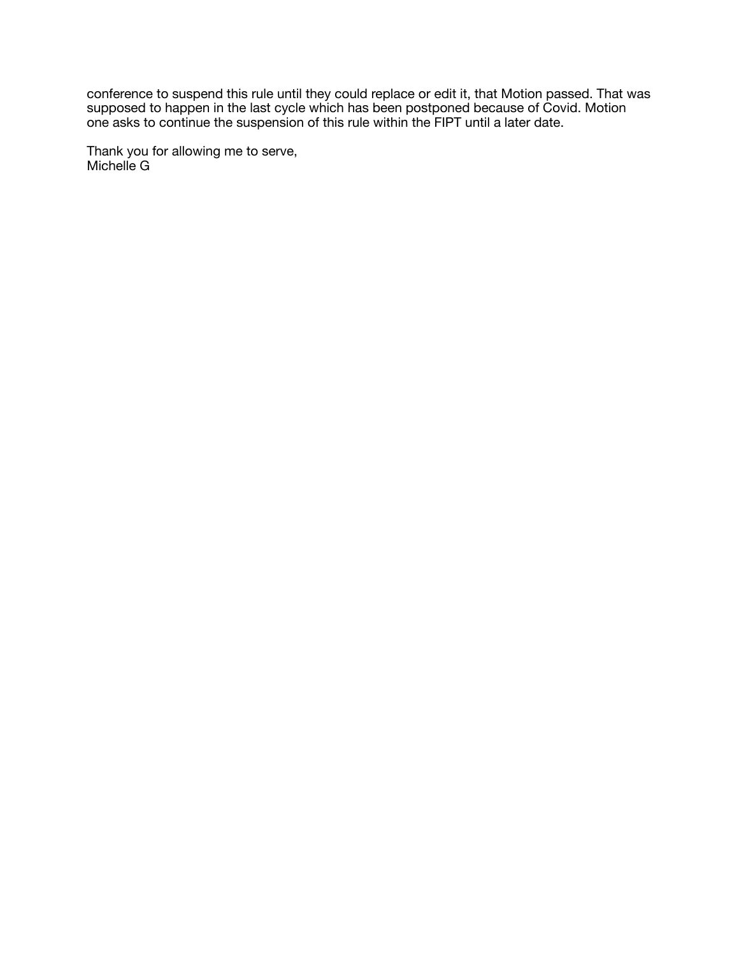conference to suspend this rule until they could replace or edit it, that Motion passed. That was supposed to happen in the last cycle which has been postponed because of Covid. Motion one asks to continue the suspension of this rule within the FIPT until a later date.

Thank you for allowing me to serve, Michelle G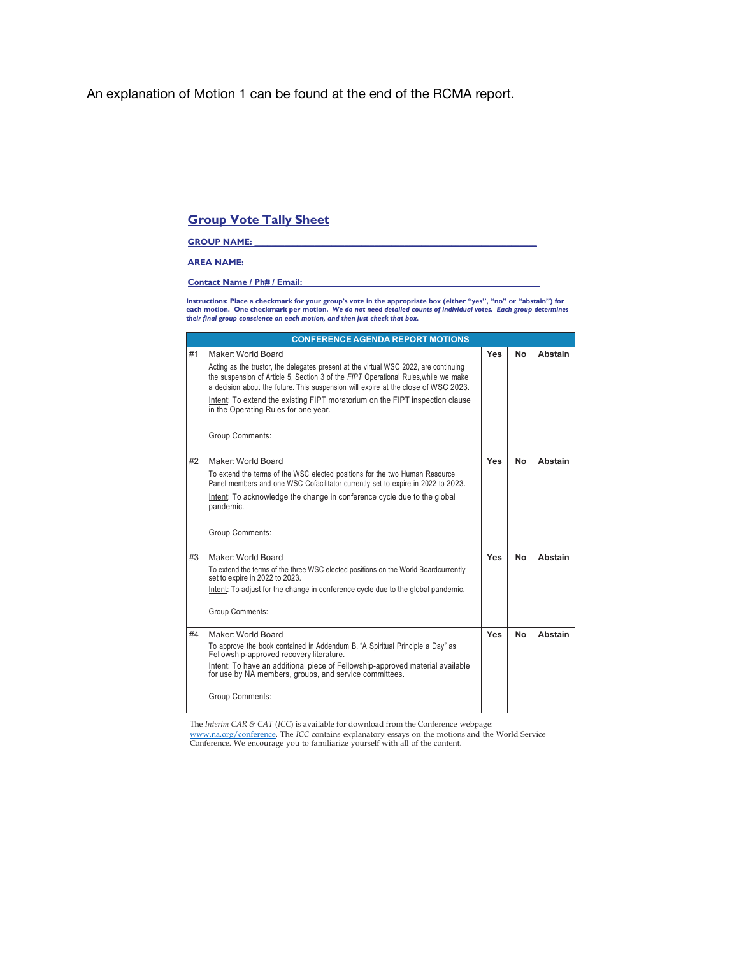## An explanation of Motion 1 can be found at the end of the RCMA report.

## **Group Vote Tally Sheet**

#### **GROUP NAME:**

#### **AREA NAME: \_\_\_\_\_\_\_\_\_\_\_\_\_\_\_\_\_\_\_\_\_\_\_\_\_\_\_\_\_\_\_\_\_\_\_\_\_\_\_\_\_\_\_\_\_\_\_\_\_\_\_\_\_\_\_\_\_\_\_\_\_\_\_\_\_\_\_\_**

#### **Contact Name / Ph# / Email:**

Instructions: Place a checkmark for your group's vote in the appropriate box (either "yes", "no" or "abstain") for<br>each motion. One checkmark per motion. We do not need detailed counts of individual votes. Each group de

|    | <b>CONFERENCE AGENDA REPORT MOTIONS</b>                                                                                                                                     |     |    |                |
|----|-----------------------------------------------------------------------------------------------------------------------------------------------------------------------------|-----|----|----------------|
| #1 | Maker: World Board                                                                                                                                                          | Yes | No | Abstain        |
|    | Acting as the trustor, the delegates present at the virtual WSC 2022, are continuing<br>the suspension of Article 5, Section 3 of the FIPT Operational Rules, while we make |     |    |                |
|    | a decision about the future. This suspension will expire at the close of WSC 2023.                                                                                          |     |    |                |
|    | Intent: To extend the existing FIPT moratorium on the FIPT inspection clause<br>in the Operating Rules for one year.                                                        |     |    |                |
|    | Group Comments:                                                                                                                                                             |     |    |                |
| #2 | Maker: World Board                                                                                                                                                          | Yes | No | Abstain        |
|    | To extend the terms of the WSC elected positions for the two Human Resource<br>Panel members and one WSC Cofacilitator currently set to expire in 2022 to 2023.             |     |    |                |
|    | Intent: To acknowledge the change in conference cycle due to the global<br>pandemic.                                                                                        |     |    |                |
|    | Group Comments:                                                                                                                                                             |     |    |                |
| #3 | Maker: World Board                                                                                                                                                          | Yes | No | <b>Abstain</b> |
|    | To extend the terms of the three WSC elected positions on the World Boardcurrently<br>set to expire in 2022 to 2023.                                                        |     |    |                |
|    | Intent: To adjust for the change in conference cycle due to the global pandemic.                                                                                            |     |    |                |
|    | <b>Group Comments:</b>                                                                                                                                                      |     |    |                |
| #4 | Maker: World Board                                                                                                                                                          | Yes | No | <b>Abstain</b> |
|    | To approve the book contained in Addendum B, "A Spiritual Principle a Day" as<br>Fellowship-approved recovery literature.                                                   |     |    |                |
|    | Intent: To have an additional piece of Fellowship-approved material available<br>for use by NA members, groups, and service committees.                                     |     |    |                |
|    | <b>Group Comments:</b>                                                                                                                                                      |     |    |                |

The *Interim CAR & CAT* (*ICC*) is available for download from the Conference webpage:

www.na.org/conference. The *ICC* contains explanatory essays on the motions and the World Service Conference. We encourage you to familiarize yourself with all of the content.